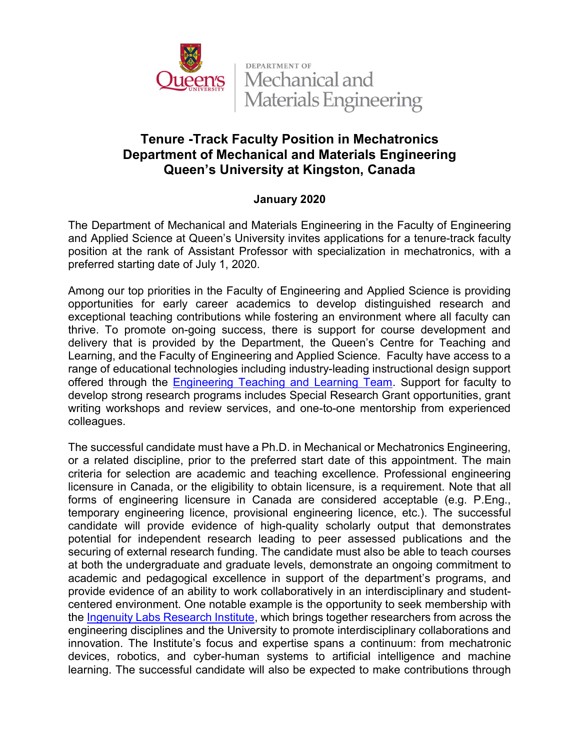

**DEPARTMENT OF** Mechanical and **Materials Engineering** 

## Tenure -Track Faculty Position in Mechatronics Department of Mechanical and Materials Engineering Queen's University at Kingston, Canada

## January 2020

The Department of Mechanical and Materials Engineering in the Faculty of Engineering and Applied Science at Queen's University invites applications for a tenure-track faculty position at the rank of Assistant Professor with specialization in mechatronics, with a preferred starting date of July 1, 2020.

Among our top priorities in the Faculty of Engineering and Applied Science is providing opportunities for early career academics to develop distinguished research and exceptional teaching contributions while fostering an environment where all faculty can thrive. To promote on-going success, there is support for course development and delivery that is provided by the Department, the Queen's Centre for Teaching and Learning, and the Faculty of Engineering and Applied Science. Faculty have access to a range of educational technologies including industry-leading instructional design support offered through the [Engineering Teaching and Learning Team.](https://engineering.queensu.ca/About/teaching-and-learning/team.html) Support for faculty to develop strong research programs includes Special Research Grant opportunities, grant writing workshops and review services, and one-to-one mentorship from experienced colleagues.

The successful candidate must have a Ph.D. in Mechanical or Mechatronics Engineering, or a related discipline, prior to the preferred start date of this appointment. The main criteria for selection are academic and teaching excellence. Professional engineering licensure in Canada, or the eligibility to obtain licensure, is a requirement. Note that all forms of engineering licensure in Canada are considered acceptable (e.g. P.Eng., temporary engineering licence, provisional engineering licence, etc.). The successful candidate will provide evidence of high-quality scholarly output that demonstrates potential for independent research leading to peer assessed publications and the securing of external research funding. The candidate must also be able to teach courses at both the undergraduate and graduate levels, demonstrate an ongoing commitment to academic and pedagogical excellence in support of the department's programs, and provide evidence of an ability to work collaboratively in an interdisciplinary and studentcentered environment. One notable example is the opportunity to seek membership with the [Ingenuity Labs Research Institute,](https://ingenuitylabs.queensu.ca/) which brings together researchers from across the engineering disciplines and the University to promote interdisciplinary collaborations and innovation. The Institute's focus and expertise spans a continuum: from mechatronic devices, robotics, and cyber-human systems to artificial intelligence and machine learning. The successful candidate will also be expected to make contributions through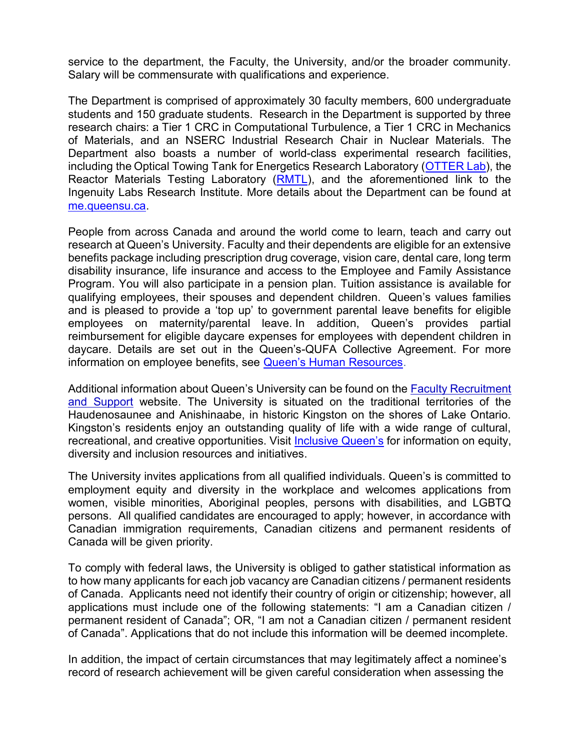service to the department, the Faculty, the University, and/or the broader community. Salary will be commensurate with qualifications and experience.

The Department is comprised of approximately 30 faculty members, 600 undergraduate students and 150 graduate students. Research in the Department is supported by three research chairs: a Tier 1 CRC in Computational Turbulence, a Tier 1 CRC in Mechanics of Materials, and an NSERC Industrial Research Chair in Nuclear Materials. The Department also boasts a number of world-class experimental research facilities, including the Optical Towing Tank for Energetics Research Laboratory [\(OTTER Lab\)](https://rivallab.com/facilities/), the Reactor Materials Testing Laboratory [\(RMTL\)](https://rmtl.engineering.queensu.ca/), and the aforementioned link to the Ingenuity Labs Research Institute. More details about the Department can be found at [me.queensu.ca.](https://me.queensu.ca/)

People from across Canada and around the world come to learn, teach and carry out research at Queen's University. Faculty and their dependents are eligible for an extensive benefits package including prescription drug coverage, vision care, dental care, long term disability insurance, life insurance and access to the Employee and Family Assistance Program. You will also participate in a pension plan. Tuition assistance is available for qualifying employees, their spouses and dependent children. Queen's values families and is pleased to provide a 'top up' to government parental leave benefits for eligible employees on maternity/parental leave. In addition, Queen's provides partial reimbursement for eligible daycare expenses for employees with dependent children in daycare. Details are set out in the Queen's-QUFA Collective Agreement. For more information on employee benefits, see Queen's Human Resources.

Additional information about Queen's University can be found on the [Faculty Recruitment](https://www.queensu.ca/facultyrecruitment/) [and Support](https://www.queensu.ca/facultyrecruitment/) website. The University is situated on the traditional territories of the Haudenosaunee and Anishinaabe, in historic Kingston on the shores of Lake Ontario. Kingston's residents enjoy an outstanding quality of life with a wide range of cultural, recreational, and creative opportunities. Visi[t Inclusive Queen's](https://www.queensu.ca/inclusive/content/home) for information on equity, diversity and inclusion resources and initiatives.

The University invites applications from all qualified individuals. Queen's is committed to employment equity and diversity in the workplace and welcomes applications from women, visible minorities, Aboriginal peoples, persons with disabilities, and LGBTQ persons. All qualified candidates are encouraged to apply; however, in accordance with Canadian immigration requirements, Canadian citizens and permanent residents of Canada will be given priority.

To comply with federal laws, the University is obliged to gather statistical information as to how many applicants for each job vacancy are Canadian citizens / permanent residents of Canada. Applicants need not identify their country of origin or citizenship; however, all applications must include one of the following statements: "I am a Canadian citizen / permanent resident of Canada"; OR, "I am not a Canadian citizen / permanent resident of Canada". Applications that do not include this information will be deemed incomplete.

In addition, the impact of certain circumstances that may legitimately affect a nominee's record of research achievement will be given careful consideration when assessing the